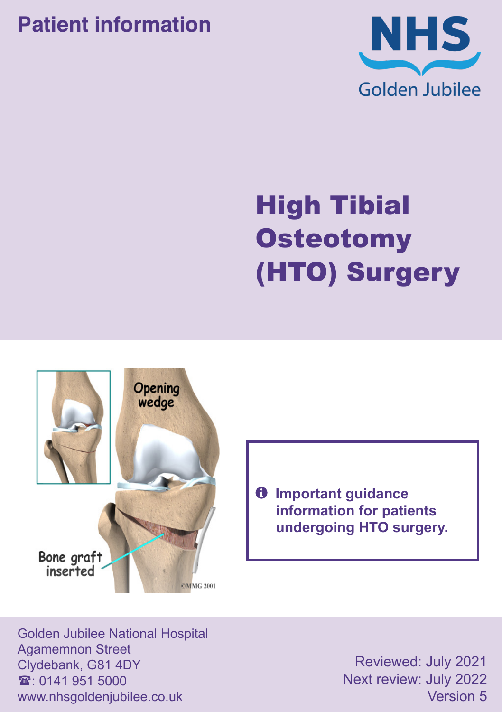## **Patient information**



# High Tibial **Osteotomy** (HTO) Surgery



 $\theta$  Important guidance **information for patients undergoing HTO surgery.**

Golden Jubilee National Hospital Agamemnon Street Clydebank, G81 4DY  $\mathbf{\hat{x}}$  0141 951 5000 www.nhsgoldenjubilee.co.uk

Reviewed: July 2021 Next review: July 2022 Version 5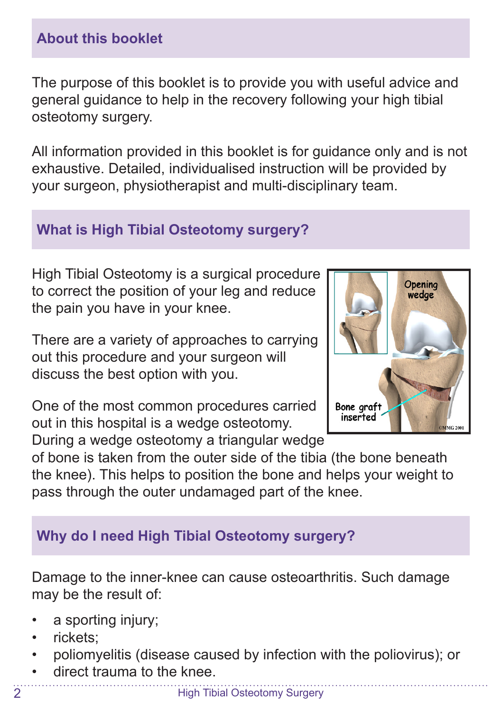## **About this booklet**

The purpose of this booklet is to provide you with useful advice and general guidance to help in the recovery following your high tibial osteotomy surgery.

All information provided in this booklet is for guidance only and is not exhaustive. Detailed, individualised instruction will be provided by your surgeon, physiotherapist and multi-disciplinary team.

## **What is High Tibial Osteotomy surgery?**

High Tibial Osteotomy is a surgical procedure to correct the position of your leg and reduce the pain you have in your knee.

There are a variety of approaches to carrying out this procedure and your surgeon will discuss the best option with you.

One of the most common procedures carried out in this hospital is a wedge osteotomy.

During a wedge osteotomy a triangular wedge



of bone is taken from the outer side of the tibia (the bone beneath the knee). This helps to position the bone and helps your weight to pass through the outer undamaged part of the knee.

## **Why do I need High Tibial Osteotomy surgery?**

Damage to the inner-knee can cause osteoarthritis. Such damage may be the result of:

- a sporting injury;
- rickets;
- poliomyelitis (disease caused by infection with the poliovirus); or
- direct trauma to the knee.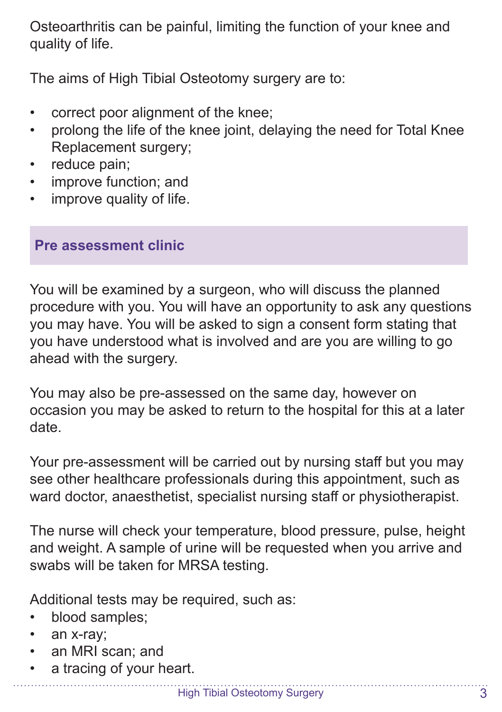Osteoarthritis can be painful, limiting the function of your knee and quality of life.

The aims of High Tibial Osteotomy surgery are to:

- correct poor alignment of the knee;
- prolong the life of the knee joint, delaying the need for Total Knee Replacement surgery;
- reduce pain:
- improve function; and
- improve quality of life.

#### **Pre assessment clinic**

You will be examined by a surgeon, who will discuss the planned procedure with you. You will have an opportunity to ask any questions you may have. You will be asked to sign a consent form stating that you have understood what is involved and are you are willing to go ahead with the surgery.

You may also be pre-assessed on the same day, however on occasion you may be asked to return to the hospital for this at a later date.

Your pre-assessment will be carried out by nursing staff but you may see other healthcare professionals during this appointment, such as ward doctor, anaesthetist, specialist nursing staff or physiotherapist.

The nurse will check your temperature, blood pressure, pulse, height and weight. A sample of urine will be requested when you arrive and swabs will be taken for MRSA testing.

Additional tests may be required, such as:

- blood samples;
- an x-ray;
- an MRI scan; and
- a tracing of your heart.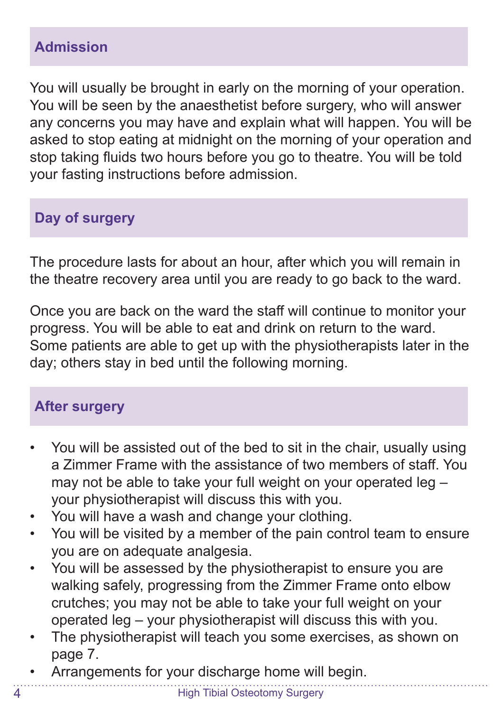## **Admission**

You will usually be brought in early on the morning of your operation. You will be seen by the anaesthetist before surgery, who will answer any concerns you may have and explain what will happen. You will be asked to stop eating at midnight on the morning of your operation and stop taking fluids two hours before you go to theatre. You will be told your fasting instructions before admission.

## **Day of surgery**

The procedure lasts for about an hour, after which you will remain in the theatre recovery area until you are ready to go back to the ward.

Once you are back on the ward the staff will continue to monitor your progress. You will be able to eat and drink on return to the ward. Some patients are able to get up with the physiotherapists later in the day; others stay in bed until the following morning.

## **After surgery**

- You will be assisted out of the bed to sit in the chair, usually using a Zimmer Frame with the assistance of two members of staff. You may not be able to take your full weight on your operated leg – your physiotherapist will discuss this with you.
- You will have a wash and change your clothing.
- You will be visited by a member of the pain control team to ensure you are on adequate analgesia.
- You will be assessed by the physiotherapist to ensure you are walking safely, progressing from the Zimmer Frame onto elbow crutches; you may not be able to take your full weight on your operated leg – your physiotherapist will discuss this with you.
- The physiotherapist will teach you some exercises, as shown on page 7.
- Arrangements for your discharge home will begin.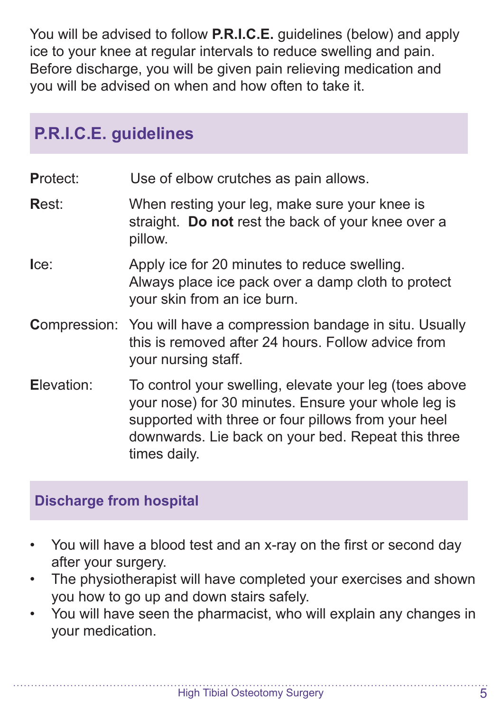You will be advised to follow **P.R.I.C.E.** guidelines (below) and apply ice to your knee at regular intervals to reduce swelling and pain. Before discharge, you will be given pain relieving medication and you will be advised on when and how often to take it.

## **P.R.I.C.E. guidelines**

- **P**rotect: Use of elbow crutches as pain allows.
- **R**est: When resting your leg, make sure your knee is straight. **Do not** rest the back of your knee over a pillow.
- **Ice:** Apply ice for 20 minutes to reduce swelling. Always place ice pack over a damp cloth to protect your skin from an ice burn.
- **C**ompression: You will have a compression bandage in situ. Usually this is removed after 24 hours. Follow advice from your nursing staff.
- **E**levation: To control your swelling, elevate your leg (toes above your nose) for 30 minutes. Ensure your whole leg is supported with three or four pillows from your heel downwards. Lie back on your bed. Repeat this three times daily.

### **Discharge from hospital**

- You will have a blood test and an x-ray on the first or second day after your surgery.
- The physiotherapist will have completed your exercises and shown you how to go up and down stairs safely.
- You will have seen the pharmacist, who will explain any changes in your medication.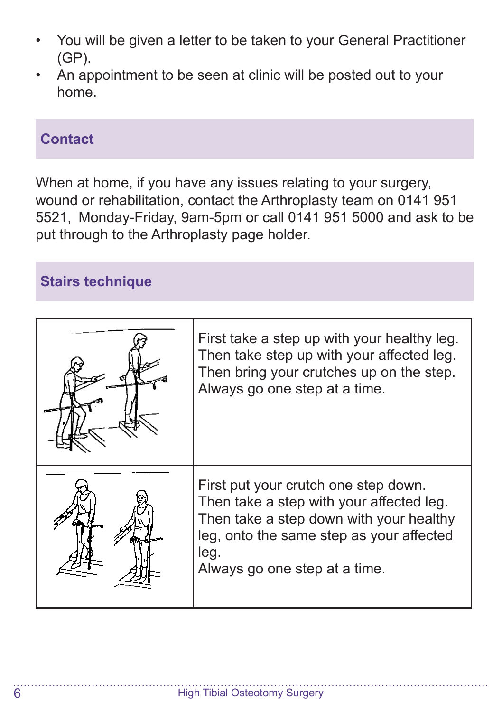- You will be given a letter to be taken to your General Practitioner (GP).
- An appointment to be seen at clinic will be posted out to your home.

#### **Contact**

When at home, if you have any issues relating to your surgery, wound or rehabilitation, contact the Arthroplasty team on 0141 951 5521, Monday-Friday, 9am-5pm or call 0141 951 5000 and ask to be put through to the Arthroplasty page holder.

### **Stairs technique**

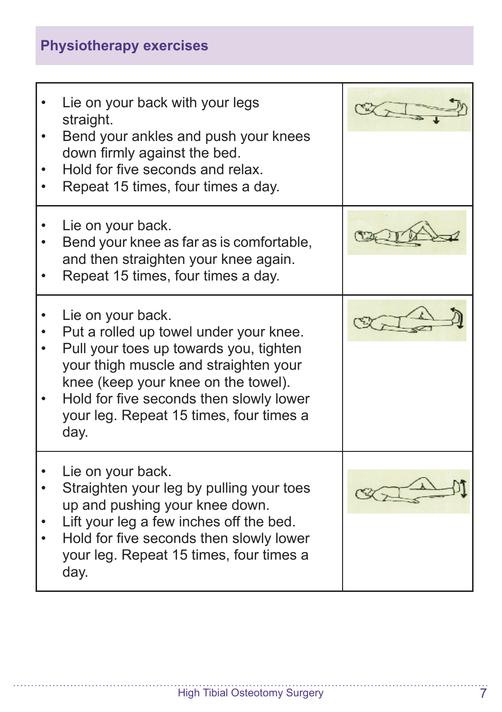## **Physiotherapy exercises**

| Lie on your back with your legs<br>straight.<br>Bend your ankles and push your knees<br>down firmly against the bed.<br>Hold for five seconds and relax.<br>Repeat 15 times, four times a day.                                                                                      |  |
|-------------------------------------------------------------------------------------------------------------------------------------------------------------------------------------------------------------------------------------------------------------------------------------|--|
| Lie on your back.<br>Bend your knee as far as is comfortable,<br>and then straighten your knee again.<br>Repeat 15 times, four times a day.                                                                                                                                         |  |
| Lie on your back.<br>Put a rolled up towel under your knee.<br>Pull your toes up towards you, tighten<br>your thigh muscle and straighten your<br>knee (keep your knee on the towel).<br>Hold for five seconds then slowly lower<br>your leg. Repeat 15 times, four times a<br>day. |  |
| Lie on your back.<br>Straighten your leg by pulling your toes<br>up and pushing your knee down.<br>Lift your leg a few inches off the bed.<br>Hold for five seconds then slowly lower<br>your leg. Repeat 15 times, four times a<br>day.                                            |  |